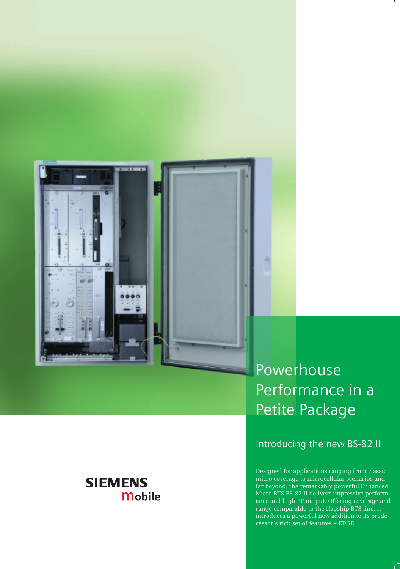

# Powerhouse Performance in a Petite Package

Introducing the new BS-82 II

Designed for applications ranging from classic micro coverage to microcellular scenarios and far beyond, the remarkably powerful Enhanced Micro BTS BS-82 II delivers impressive performance and high RF output. Offering coverage and range comparable to the flagship BTS line, it introduces a powerful new addition to its predecessor's rich set of features – EDGE.

## **SIEMENS Mobile**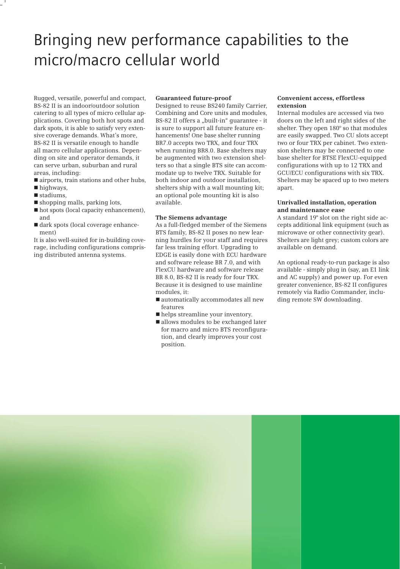## Bringing new performance capabilities to the micro/macro cellular world

Rugged, versatile, powerful and compact, BS-82 II is an indoor/outdoor solution catering to all types of micro cellular applications. Covering both hot spots and dark spots, it is able to satisfy very extensive coverage demands. What's more, BS-82 II is versatile enough to handle all macro cellular applications. Depending on site and operator demands, it can serve urban, suburban and rural areas, including:

- $\blacksquare$  airports, train stations and other hubs,
- $\blacksquare$  highways,
- $\blacksquare$  stadiums,
- $\blacksquare$  shopping malls, parking lots,
- $\blacksquare$  hot spots (local capacity enhancement), and
- $\blacksquare$  dark spots (local coverage enhancement)

It is also well-suited for in-building coverage, including configurations comprising distributed antenna systems.

#### **Guaranteed future-proof**

Designed to reuse BS240 family Carrier, Combining and Core units and modules, BS-82 II offers a "built-in" guarantee - it is sure to support all future feature enhancements! One base shelter running BR7.0 accepts two TRX, and four TRX when running BR8.0. Base shelters may be augmented with two extension shelters so that a single BTS site can accommodate up to twelve TRX. Suitable for both indoor and outdoor installation, shelters ship with a wall mounting kit; an optional pole mounting kit is also available.

#### **The Siemens advantage**

As a full-fledged member of the Siemens BTS family, BS-82 II poses no new learning hurdles for your staff and requires far less training effort. Upgrading to EDGE is easily done with ECU hardware and software release BR 7.0, and with FlexCU hardware and software release BR 8.0, BS-82 II is ready for four TRX. Because it is designed to use mainline modules, it:

- $\blacksquare$  automatically accommodates all new features
- $\blacksquare$  helps streamline your inventory.
- allows modules to be exchanged later for macro and micro BTS reconfiguration, and clearly improves your cost position.

#### **Convenient access, effortless extension**

Internal modules are accessed via two doors on the left and right sides of the shelter. They open 180° so that modules are easily swapped. Two CU slots accept two or four TRX per cabinet. Two extension shelters may be connected to one base shelter for BTSE FlexCU-equipped configurations with up to 12 TRX and GCU/ECU configurations with six TRX. Shelters may be spaced up to two meters apart.

#### **Unrivalled installation, operation and maintenance ease**

A standard 19" slot on the right side accepts additional link equipment (such as microwave or other connectivity gear). Shelters are light grey; custom colors are available on demand.

An optional ready-to-run package is also available - simply plug in (say, an E1 link and AC supply) and power up. For even greater convenience, BS-82 II configures remotely via Radio Commander, including remote SW downloading.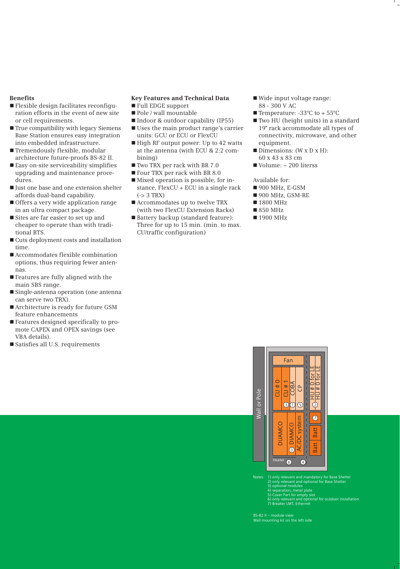#### **Benefits**

- " Flexible design facilitates reconfiguration efforts in the event of new site or cell requirements.
- $\blacksquare$  True compatibility with legacy Siemens Base Station ensures easy integration into embedded infrastructure.
- **Tremendously flexible, modular** architecture future-proofs BS-82 II.
- $\blacksquare$  Easy on-site serviceability simplifies upgrading and maintenance procedures.
- I Just one base and one extension shelter affords dual-band capability.
- **Offers a very wide application range** in an ultra compact package.
- $\blacksquare$  Sites are far easier to set up and cheaper to operate than with traditional BTS.
- $\blacksquare$  Cuts deployment costs and installation time.
- $\blacksquare$  Accommodates flexible combination options, thus requiring fewer antennas.
- $\blacksquare$  Features are fully aligned with the main SBS range.
- $\blacksquare$  Single-antenna operation (one antenna can serve two TRX).
- Architecture is ready for future GSM feature enhancements
- " Features designed specifically to promote CAPEX and OPEX savings (see VBA details).
- Satisfies all U.S. requirements

### **Key Features and Technical Data**

- Full EDGE support
- Pole / wall mountable
- $\blacksquare$  Indoor & outdoor capability (IP55)
- Uses the main product range's carrier units: GCU or ECU or FlexCU
- $\blacksquare$  High RF output power: Up to 42 watts at the antenna (with ECU & 2:2 combining)
- Two TRX per rack with BR 7.0
- Four TRX per rack with BR 8.0
- $\blacksquare$  Mixed operation is possible, for instance, FlexCU + ECU in a single rack  $(->3$  TRX)
- $\blacksquare$  Accommodates up to twelve TRX (with two FlexCU Extension Racks)
- Battery backup (standard feature): Three for up to 15 min. (min. to max. CU/traffic configuration)
- Wide input voltage range: 88 - 300 V AC
- **Temperature: -33°C to + 55°C**
- $\blacksquare$  Two HU (height units) in a standard 19" rack accommodate all types of connectivity, microwave, and other equipment.
- $\blacksquare$  Dimensions: (W x D x H): 60 x 43 x 83 cm
- $\blacksquare$  Volume: ~ 200 literss

Available for:

- $\blacksquare$  900 MHz, E-GSM
- $\blacksquare$  900 MHz, GSM-RE
- $\blacksquare$  1800 MHz
- $\blacksquare$  850 MHz
- $\blacksquare$  1900 MHz



Notes: 1) only relevant and mandatory for Base Shelter<br>2) only relevant and optional for Base Shelter<br>3) optional modules<br>4) separation, metal plate<br>5) Cover Part for empty slot<br>6) only relevant and optional for outdoor in

- 
- 
- 

BS-82 II – module view Wall mounting kit on the left side